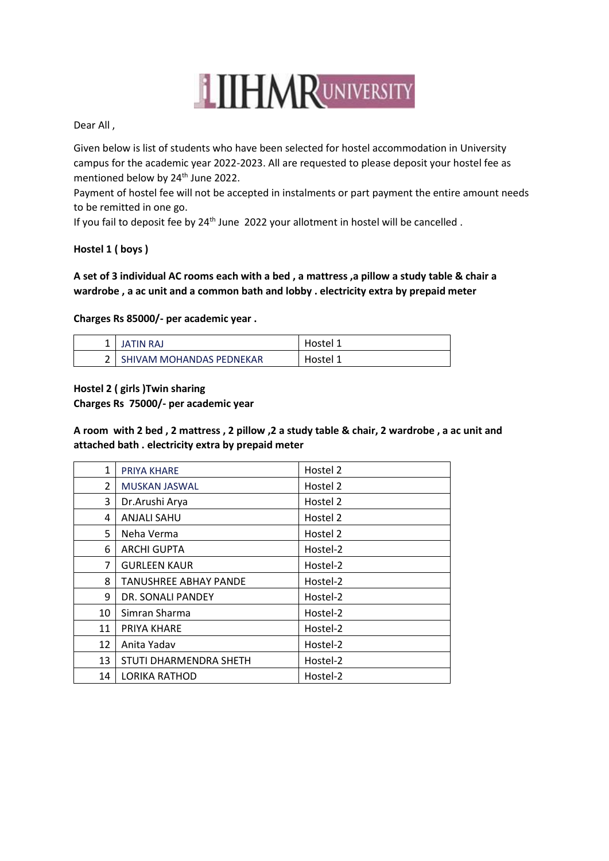# **LITHMRUNIVERSITY**

Dear All ,

Given below is list of students who have been selected for hostel accommodation in University campus for the academic year 2022-2023. All are requested to please deposit your hostel fee as mentioned below by 24<sup>th</sup> June 2022.

Payment of hostel fee will not be accepted in instalments or part payment the entire amount needs to be remitted in one go.

If you fail to deposit fee by 24<sup>th</sup> June 2022 your allotment in hostel will be cancelled.

#### **Hostel 1 ( boys )**

#### **A set of 3 individual AC rooms each with a bed , a mattress ,a pillow a study table & chair a wardrobe , a ac unit and a common bath and lobby . electricity extra by prepaid meter**

**Charges Rs 85000/- per academic year .**

| JATIN RAJ                | Hostel 1 |
|--------------------------|----------|
| SHIVAM MOHANDAS PEDNEKAR | Hostel 1 |

**Hostel 2 ( girls )Twin sharing** 

**Charges Rs 75000/- per academic year** 

**A room with 2 bed , 2 mattress , 2 pillow ,2 a study table & chair, 2 wardrobe , a ac unit and attached bath . electricity extra by prepaid meter** 

| 1              | <b>PRIYA KHARE</b>     | Hostel 2 |
|----------------|------------------------|----------|
| $\overline{2}$ | <b>MUSKAN JASWAL</b>   | Hostel 2 |
| 3              | Dr. Arushi Arya        | Hostel 2 |
| 4              | <b>ANJALI SAHU</b>     | Hostel 2 |
| 5              | Neha Verma             | Hostel 2 |
| 6              | <b>ARCHI GUPTA</b>     | Hostel-2 |
| 7              | <b>GURLEEN KAUR</b>    | Hostel-2 |
| 8              | TANUSHREE ABHAY PANDE  | Hostel-2 |
| 9              | DR. SONALI PANDEY      | Hostel-2 |
| 10             | Simran Sharma          | Hostel-2 |
| 11             | PRIYA KHARE            | Hostel-2 |
| 12             | Anita Yadav            | Hostel-2 |
| 13             | STUTI DHARMENDRA SHETH | Hostel-2 |
| 14             | <b>LORIKA RATHOD</b>   | Hostel-2 |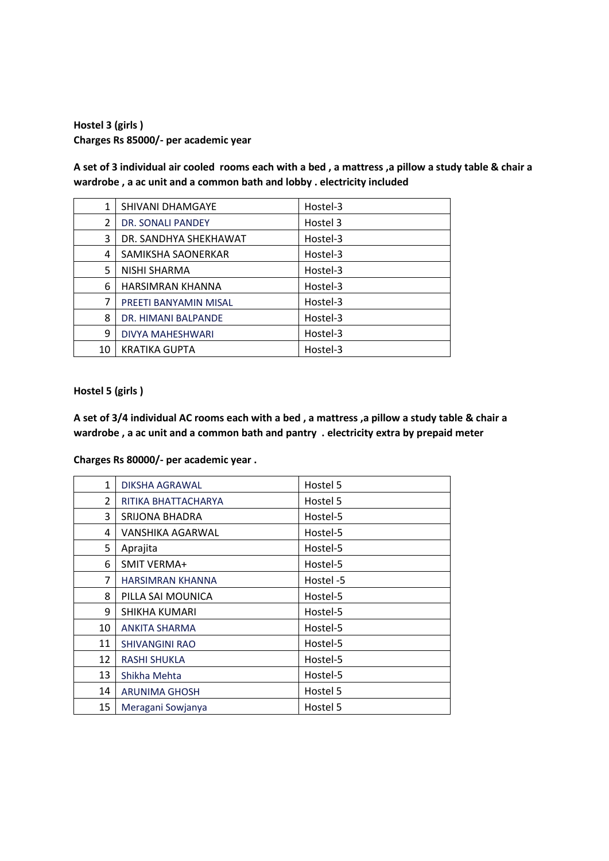**Hostel 3 (girls ) Charges Rs 85000/- per academic year** 

**A set of 3 individual air cooled rooms each with a bed , a mattress ,a pillow a study table & chair a wardrobe , a ac unit and a common bath and lobby . electricity included** 

| 1  | SHIVANI DHAMGAYE        | Hostel-3 |
|----|-------------------------|----------|
| 2  | DR. SONALI PANDEY       | Hostel 3 |
| 3  | DR. SANDHYA SHEKHAWAT   | Hostel-3 |
| 4  | SAMIKSHA SAONERKAR      | Hostel-3 |
| 5  | NISHI SHARMA            | Hostel-3 |
| 6  | HARSIMRAN KHANNA        | Hostel-3 |
| 7  | PREETI BANYAMIN MISAL   | Hostel-3 |
| 8  | DR. HIMANI BALPANDE     | Hostel-3 |
| 9  | <b>DIVYA MAHESHWARI</b> | Hostel-3 |
| 10 | <b>KRATIKA GUPTA</b>    | Hostel-3 |

**Hostel 5 (girls )**

**A set of 3/4 individual AC rooms each with a bed , a mattress ,a pillow a study table & chair a wardrobe , a ac unit and a common bath and pantry . electricity extra by prepaid meter** 

**Charges Rs 80000/- per academic year .**

| $\mathbf{1}$ | DIKSHA AGRAWAL          | Hostel 5  |
|--------------|-------------------------|-----------|
| 2            | RITIKA BHATTACHARYA     | Hostel 5  |
| 3            | SRIJONA BHADRA          | Hostel-5  |
| 4            | VANSHIKA AGARWAL        | Hostel-5  |
| 5            | Aprajita                | Hostel-5  |
| 6            | <b>SMIT VERMA+</b>      | Hostel-5  |
| 7            | <b>HARSIMRAN KHANNA</b> | Hostel -5 |
| 8            | PILLA SAI MOUNICA       | Hostel-5  |
| 9            | SHIKHA KUMARI           | Hostel-5  |
| 10           | <b>ANKITA SHARMA</b>    | Hostel-5  |
| 11           | <b>SHIVANGINI RAO</b>   | Hostel-5  |
| 12           | <b>RASHI SHUKLA</b>     | Hostel-5  |
| 13           | Shikha Mehta            | Hostel-5  |
| 14           | <b>ARUNIMA GHOSH</b>    | Hostel 5  |
| 15           | Meragani Sowjanya       | Hostel 5  |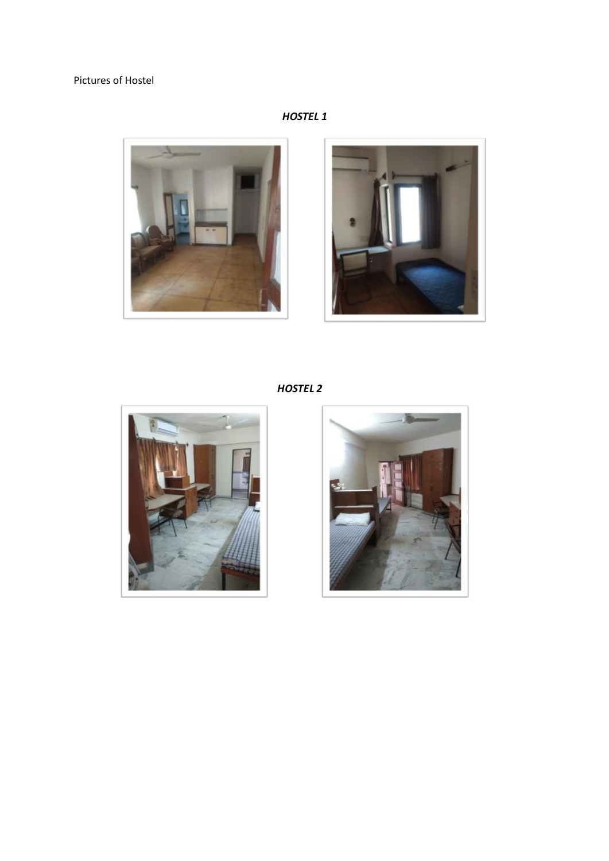## Pictures of Hostel

## **HOSTEL 1**





**HOSTEL 2**